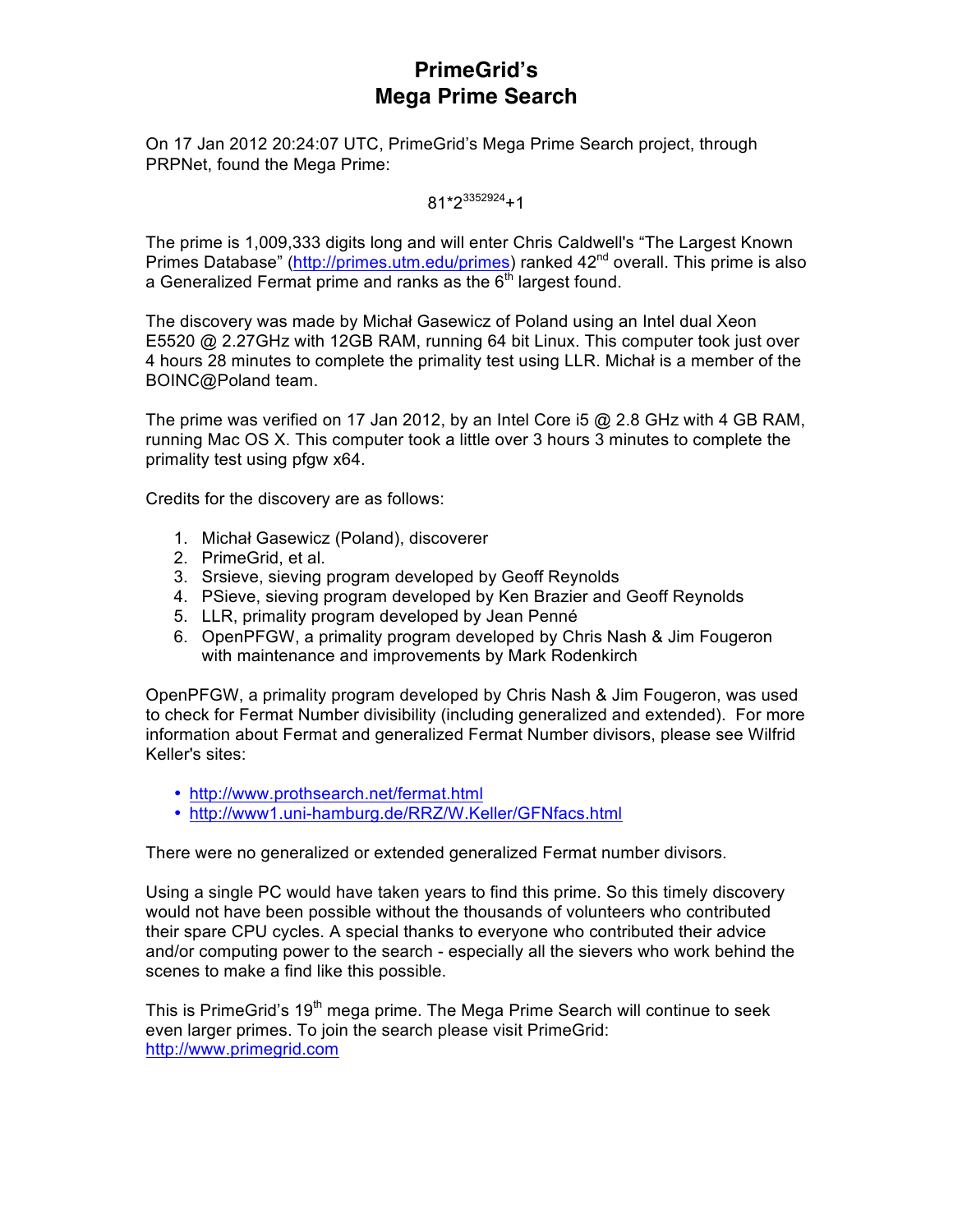## **PrimeGrid's Mega Prime Search**

On 17 Jan 2012 20:24:07 UTC, PrimeGrid's Mega Prime Search project, through PRPNet, found the Mega Prime:

 $81*2^{3352924}+1$ 

The prime is 1,009,333 digits long and will enter Chris Caldwell's "The Largest Known Primes Database" (http://primes.utm.edu/primes) ranked 42<sup>nd</sup> overall. This prime is also a Generalized Fermat prime and ranks as the  $6<sup>th</sup>$  largest found.

The discovery was made by Michał Gasewicz of Poland using an Intel dual Xeon E5520 @ 2.27GHz with 12GB RAM, running 64 bit Linux. This computer took just over 4 hours 28 minutes to complete the primality test using LLR. Michał is a member of the BOINC@Poland team.

The prime was verified on 17 Jan 2012, by an Intel Core i5  $@$  2.8 GHz with 4 GB RAM, running Mac OS X. This computer took a little over 3 hours 3 minutes to complete the primality test using pfgw x64.

Credits for the discovery are as follows:

- 1. Michał Gasewicz (Poland), discoverer
- 2. PrimeGrid, et al.
- 3. Srsieve, sieving program developed by Geoff Reynolds
- 4. PSieve, sieving program developed by Ken Brazier and Geoff Reynolds
- 5. LLR, primality program developed by Jean Penné
- 6. OpenPFGW, a primality program developed by Chris Nash & Jim Fougeron with maintenance and improvements by Mark Rodenkirch

OpenPFGW, a primality program developed by Chris Nash & Jim Fougeron, was used to check for Fermat Number divisibility (including generalized and extended). For more information about Fermat and generalized Fermat Number divisors, please see Wilfrid Keller's sites:

- http://www.prothsearch.net/fermat.html
- http://www1.uni-hamburg.de/RRZ/W.Keller/GFNfacs.html

There were no generalized or extended generalized Fermat number divisors.

Using a single PC would have taken years to find this prime. So this timely discovery would not have been possible without the thousands of volunteers who contributed their spare CPU cycles. A special thanks to everyone who contributed their advice and/or computing power to the search - especially all the sievers who work behind the scenes to make a find like this possible.

This is PrimeGrid's 19<sup>th</sup> mega prime. The Mega Prime Search will continue to seek even larger primes. To join the search please visit PrimeGrid: http://www.primegrid.com